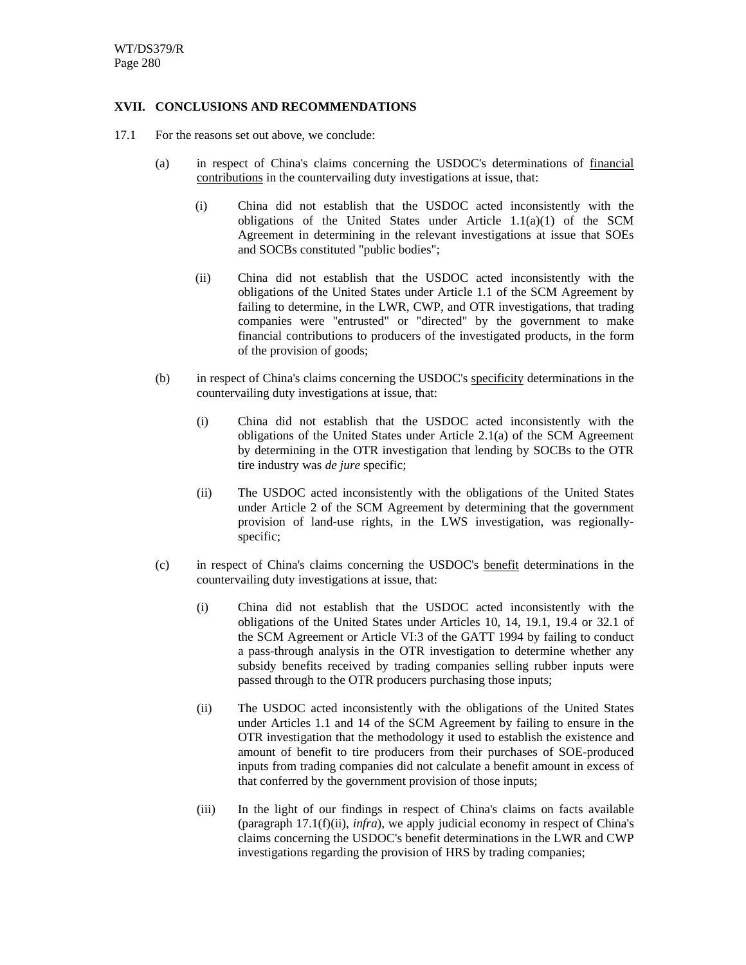## **XVII. CONCLUSIONS AND RECOMMENDATIONS**

- 17.1 For the reasons set out above, we conclude:
	- (a) in respect of China's claims concerning the USDOC's determinations of financial contributions in the countervailing duty investigations at issue, that:
		- (i) China did not establish that the USDOC acted inconsistently with the obligations of the United States under Article 1.1(a)(1) of the SCM Agreement in determining in the relevant investigations at issue that SOEs and SOCBs constituted "public bodies";
		- (ii) China did not establish that the USDOC acted inconsistently with the obligations of the United States under Article 1.1 of the SCM Agreement by failing to determine, in the LWR, CWP, and OTR investigations, that trading companies were "entrusted" or "directed" by the government to make financial contributions to producers of the investigated products, in the form of the provision of goods;
	- (b) in respect of China's claims concerning the USDOC's specificity determinations in the countervailing duty investigations at issue, that:
		- (i) China did not establish that the USDOC acted inconsistently with the obligations of the United States under Article 2.1(a) of the SCM Agreement by determining in the OTR investigation that lending by SOCBs to the OTR tire industry was *de jure* specific;
		- (ii) The USDOC acted inconsistently with the obligations of the United States under Article 2 of the SCM Agreement by determining that the government provision of land-use rights, in the LWS investigation, was regionallyspecific;
	- (c) in respect of China's claims concerning the USDOC's benefit determinations in the countervailing duty investigations at issue, that:
		- (i) China did not establish that the USDOC acted inconsistently with the obligations of the United States under Articles 10, 14, 19.1, 19.4 or 32.1 of the SCM Agreement or Article VI:3 of the GATT 1994 by failing to conduct a pass-through analysis in the OTR investigation to determine whether any subsidy benefits received by trading companies selling rubber inputs were passed through to the OTR producers purchasing those inputs;
		- (ii) The USDOC acted inconsistently with the obligations of the United States under Articles 1.1 and 14 of the SCM Agreement by failing to ensure in the OTR investigation that the methodology it used to establish the existence and amount of benefit to tire producers from their purchases of SOE-produced inputs from trading companies did not calculate a benefit amount in excess of that conferred by the government provision of those inputs;
		- (iii) In the light of our findings in respect of China's claims on facts available (paragraph 17.1(f)(ii), *infra*), we apply judicial economy in respect of China's claims concerning the USDOC's benefit determinations in the LWR and CWP investigations regarding the provision of HRS by trading companies;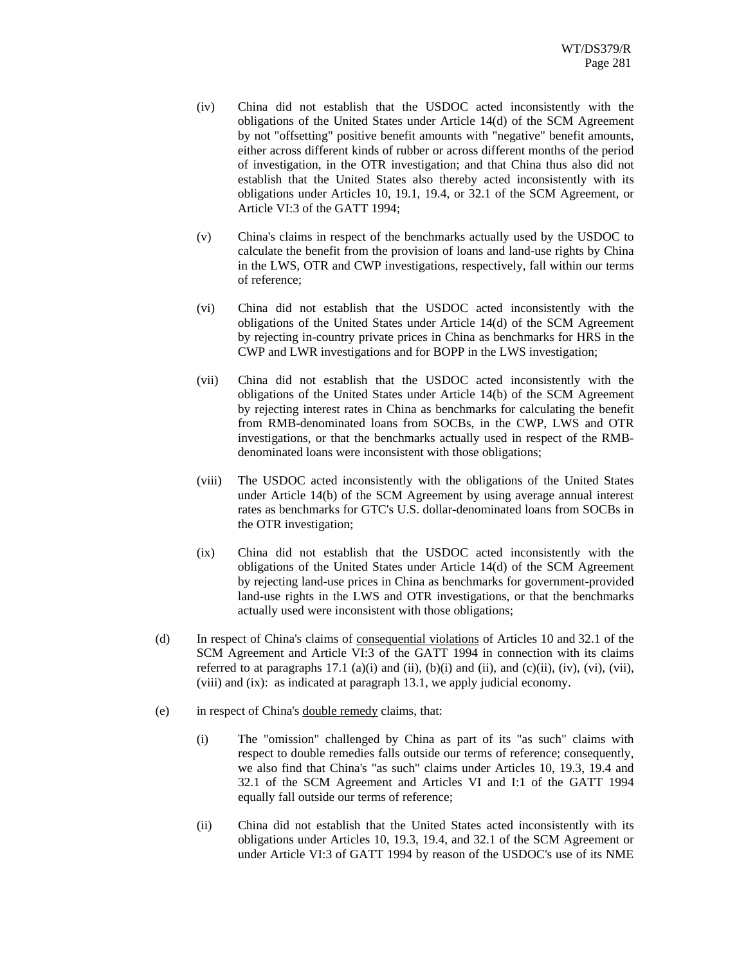- (iv) China did not establish that the USDOC acted inconsistently with the obligations of the United States under Article 14(d) of the SCM Agreement by not "offsetting" positive benefit amounts with "negative" benefit amounts, either across different kinds of rubber or across different months of the period of investigation, in the OTR investigation; and that China thus also did not establish that the United States also thereby acted inconsistently with its obligations under Articles 10, 19.1, 19.4, or 32.1 of the SCM Agreement, or Article VI:3 of the GATT 1994;
- (v) China's claims in respect of the benchmarks actually used by the USDOC to calculate the benefit from the provision of loans and land-use rights by China in the LWS, OTR and CWP investigations, respectively, fall within our terms of reference;
- (vi) China did not establish that the USDOC acted inconsistently with the obligations of the United States under Article 14(d) of the SCM Agreement by rejecting in-country private prices in China as benchmarks for HRS in the CWP and LWR investigations and for BOPP in the LWS investigation;
- (vii) China did not establish that the USDOC acted inconsistently with the obligations of the United States under Article 14(b) of the SCM Agreement by rejecting interest rates in China as benchmarks for calculating the benefit from RMB-denominated loans from SOCBs, in the CWP, LWS and OTR investigations, or that the benchmarks actually used in respect of the RMBdenominated loans were inconsistent with those obligations;
- (viii) The USDOC acted inconsistently with the obligations of the United States under Article 14(b) of the SCM Agreement by using average annual interest rates as benchmarks for GTC's U.S. dollar-denominated loans from SOCBs in the OTR investigation;
- (ix) China did not establish that the USDOC acted inconsistently with the obligations of the United States under Article 14(d) of the SCM Agreement by rejecting land-use prices in China as benchmarks for government-provided land-use rights in the LWS and OTR investigations, or that the benchmarks actually used were inconsistent with those obligations;
- (d) In respect of China's claims of consequential violations of Articles 10 and 32.1 of the SCM Agreement and Article VI:3 of the GATT 1994 in connection with its claims referred to at paragraphs 17.1 (a)(i) and (ii), (b)(i) and (ii), and (c)(ii), (iv), (vi), (vii), (viii) and (ix): as indicated at paragraph 13.1, we apply judicial economy.
- (e) in respect of China's double remedy claims, that:
	- (i) The "omission" challenged by China as part of its "as such" claims with respect to double remedies falls outside our terms of reference; consequently, we also find that China's "as such" claims under Articles 10, 19.3, 19.4 and 32.1 of the SCM Agreement and Articles VI and I:1 of the GATT 1994 equally fall outside our terms of reference;
	- (ii) China did not establish that the United States acted inconsistently with its obligations under Articles 10, 19.3, 19.4, and 32.1 of the SCM Agreement or under Article VI:3 of GATT 1994 by reason of the USDOC's use of its NME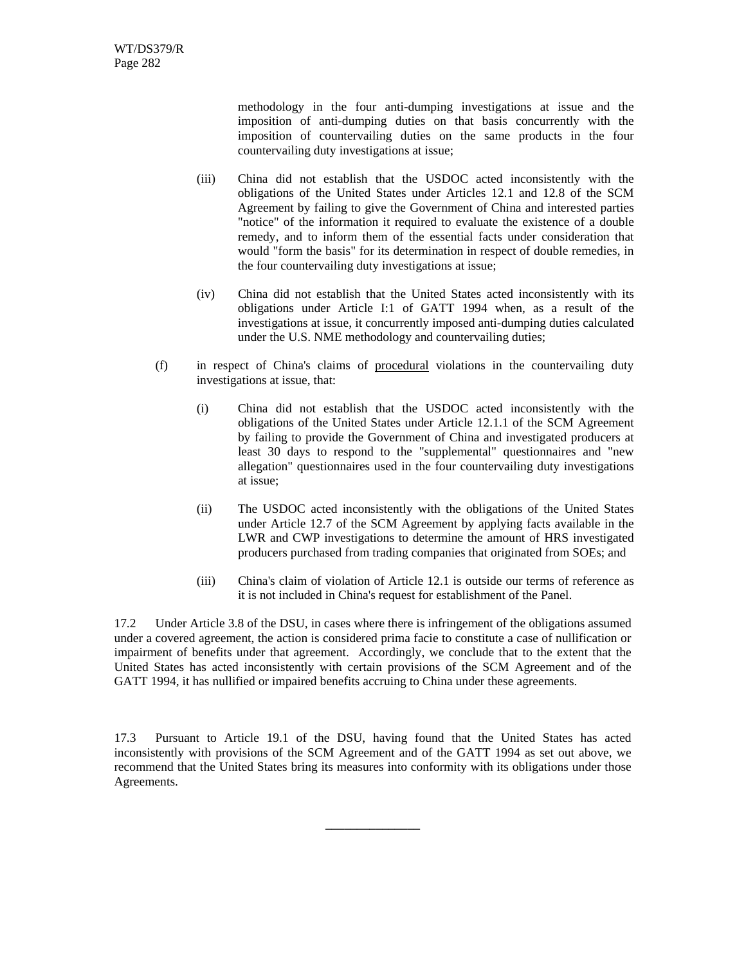methodology in the four anti-dumping investigations at issue and the imposition of anti-dumping duties on that basis concurrently with the imposition of countervailing duties on the same products in the four countervailing duty investigations at issue;

- (iii) China did not establish that the USDOC acted inconsistently with the obligations of the United States under Articles 12.1 and 12.8 of the SCM Agreement by failing to give the Government of China and interested parties "notice" of the information it required to evaluate the existence of a double remedy, and to inform them of the essential facts under consideration that would "form the basis" for its determination in respect of double remedies, in the four countervailing duty investigations at issue;
- (iv) China did not establish that the United States acted inconsistently with its obligations under Article I:1 of GATT 1994 when, as a result of the investigations at issue, it concurrently imposed anti-dumping duties calculated under the U.S. NME methodology and countervailing duties;
- (f) in respect of China's claims of procedural violations in the countervailing duty investigations at issue, that:
	- (i) China did not establish that the USDOC acted inconsistently with the obligations of the United States under Article 12.1.1 of the SCM Agreement by failing to provide the Government of China and investigated producers at least 30 days to respond to the "supplemental" questionnaires and "new allegation" questionnaires used in the four countervailing duty investigations at issue;
	- (ii) The USDOC acted inconsistently with the obligations of the United States under Article 12.7 of the SCM Agreement by applying facts available in the LWR and CWP investigations to determine the amount of HRS investigated producers purchased from trading companies that originated from SOEs; and
	- (iii) China's claim of violation of Article 12.1 is outside our terms of reference as it is not included in China's request for establishment of the Panel.

17.2 Under Article 3.8 of the DSU, in cases where there is infringement of the obligations assumed under a covered agreement, the action is considered prima facie to constitute a case of nullification or impairment of benefits under that agreement. Accordingly, we conclude that to the extent that the United States has acted inconsistently with certain provisions of the SCM Agreement and of the GATT 1994, it has nullified or impaired benefits accruing to China under these agreements.

17.3 Pursuant to Article 19.1 of the DSU, having found that the United States has acted inconsistently with provisions of the SCM Agreement and of the GATT 1994 as set out above, we recommend that the United States bring its measures into conformity with its obligations under those Agreements.

**\_\_\_\_\_\_\_\_\_\_\_\_\_\_\_**